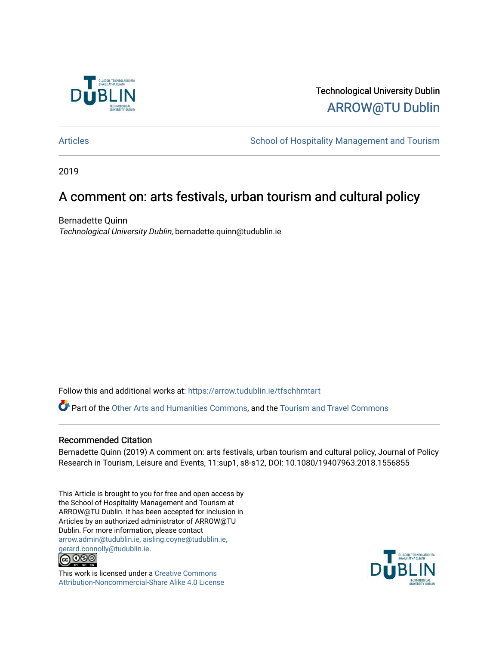

Technological University Dublin [ARROW@TU Dublin](https://arrow.tudublin.ie/) 

[Articles](https://arrow.tudublin.ie/tfschhmtart) **School of Hospitality Management and Tourism** 

2019

## A comment on: arts festivals, urban tourism and cultural policy

Bernadette Quinn Technological University Dublin, bernadette.quinn@tudublin.ie

Follow this and additional works at: [https://arrow.tudublin.ie/tfschhmtart](https://arrow.tudublin.ie/tfschhmtart?utm_source=arrow.tudublin.ie%2Ftfschhmtart%2F92&utm_medium=PDF&utm_campaign=PDFCoverPages) 

Part of the [Other Arts and Humanities Commons,](http://network.bepress.com/hgg/discipline/577?utm_source=arrow.tudublin.ie%2Ftfschhmtart%2F92&utm_medium=PDF&utm_campaign=PDFCoverPages) and the Tourism and Travel Commons

### Recommended Citation

Bernadette Quinn (2019) A comment on: arts festivals, urban tourism and cultural policy, Journal of Policy Research in Tourism, Leisure and Events, 11:sup1, s8-s12, DOI: 10.1080/19407963.2018.1556855

This Article is brought to you for free and open access by the School of Hospitality Management and Tourism at ARROW@TU Dublin. It has been accepted for inclusion in Articles by an authorized administrator of ARROW@TU Dublin. For more information, please contact [arrow.admin@tudublin.ie, aisling.coyne@tudublin.ie,](mailto:arrow.admin@tudublin.ie,%20aisling.coyne@tudublin.ie,%20gerard.connolly@tudublin.ie)  [gerard.connolly@tudublin.ie](mailto:arrow.admin@tudublin.ie,%20aisling.coyne@tudublin.ie,%20gerard.connolly@tudublin.ie).<br>@000



This work is licensed under a [Creative Commons](http://creativecommons.org/licenses/by-nc-sa/4.0/) [Attribution-Noncommercial-Share Alike 4.0 License](http://creativecommons.org/licenses/by-nc-sa/4.0/)

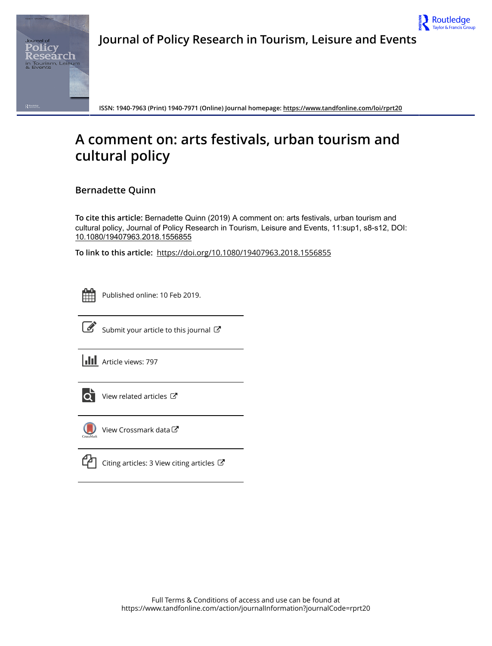



**ISSN: 1940-7963 (Print) 1940-7971 (Online) Journal homepage:<https://www.tandfonline.com/loi/rprt20>**

# **A comment on: arts festivals, urban tourism and cultural policy**

**Bernadette Quinn**

**To cite this article:** Bernadette Quinn (2019) A comment on: arts festivals, urban tourism and cultural policy, Journal of Policy Research in Tourism, Leisure and Events, 11:sup1, s8-s12, DOI: [10.1080/19407963.2018.1556855](https://www.tandfonline.com/action/showCitFormats?doi=10.1080/19407963.2018.1556855)

**To link to this article:** <https://doi.org/10.1080/19407963.2018.1556855>



Published online: 10 Feb 2019.



 $\overrightarrow{S}$  [Submit your article to this journal](https://www.tandfonline.com/action/authorSubmission?journalCode=rprt20&show=instructions)  $\overrightarrow{S}$ 

**III** Article views: 797



[View related articles](https://www.tandfonline.com/doi/mlt/10.1080/19407963.2018.1556855)  $\mathbb{Z}$ 



[View Crossmark data](http://crossmark.crossref.org/dialog/?doi=10.1080/19407963.2018.1556855&domain=pdf&date_stamp=2019-02-10)<sup>C</sup>

[Citing articles: 3 View citing articles](https://www.tandfonline.com/doi/citedby/10.1080/19407963.2018.1556855#tabModule)  $\mathbb{Z}$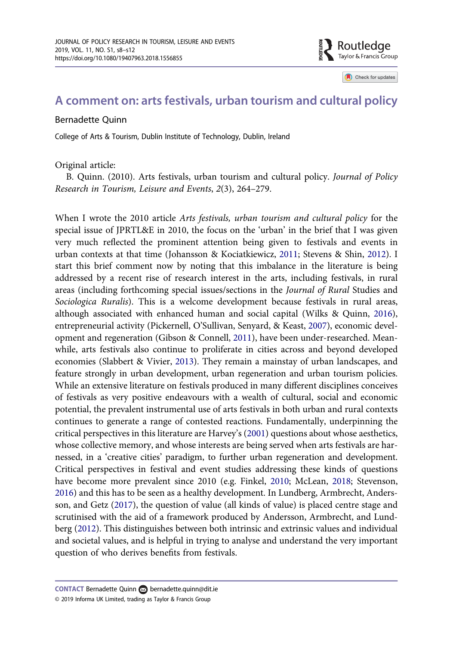

Check for updates

## <span id="page-2-0"></span>A comment on: arts festivals, urban tourism and cultural policy

#### Bernadette Quinn

College of Arts & Tourism, Dublin Institute of Technology, Dublin, Ireland

Original article:

B. Quinn. (2010). Arts festivals, urban tourism and cultural policy. Journal of Policy Research in Tourism, Leisure and Events, 2(3), 264–279.

When I wrote the 2010 article Arts festivals, urban tourism and cultural policy for the special issue of JPRTL&E in 2010, the focus on the 'urban' in the brief that I was given very much reflected the prominent attention being given to festivals and events in urban contexts at that time (Johansson & Kociatkiewicz, [2011](#page-6-0); Stevens & Shin, [2012](#page-6-0)). I start this brief comment now by noting that this imbalance in the literature is being addressed by a recent rise of research interest in the arts, including festivals, in rural areas (including forthcoming special issues/sections in the Journal of Rural Studies and Sociologica Ruralis). This is a welcome development because festivals in rural areas, although associated with enhanced human and social capital (Wilks & Quinn, [2016](#page-6-0)), entrepreneurial activity (Pickernell, O'Sullivan, Senyard, & Keast, [2007\)](#page-6-0), economic development and regeneration (Gibson & Connell, [2011](#page-5-0)), have been under-researched. Meanwhile, arts festivals also continue to proliferate in cities across and beyond developed economies (Slabbert & Vivier, [2013\)](#page-6-0). They remain a mainstay of urban landscapes, and feature strongly in urban development, urban regeneration and urban tourism policies. While an extensive literature on festivals produced in many different disciplines conceives of festivals as very positive endeavours with a wealth of cultural, social and economic potential, the prevalent instrumental use of arts festivals in both urban and rural contexts continues to generate a range of contested reactions. Fundamentally, underpinning the critical perspectives in this literature are Harvey's [\(2001](#page-5-0)) questions about whose aesthetics, whose collective memory, and whose interests are being served when arts festivals are harnessed, in a 'creative cities' paradigm, to further urban regeneration and development. Critical perspectives in festival and event studies addressing these kinds of questions have become more prevalent since 2010 (e.g. Finkel, [2010;](#page-5-0) McLean, [2018](#page-6-0); Stevenson, [2016](#page-6-0)) and this has to be seen as a healthy development. In Lundberg, Armbrecht, Andersson, and Getz [\(2017\)](#page-6-0), the question of value (all kinds of value) is placed centre stage and scrutinised with the aid of a framework produced by Andersson, Armbrecht, and Lundberg ([2012\)](#page-5-0). This distinguishes between both intrinsic and extrinsic values and individual and societal values, and is helpful in trying to analyse and understand the very important question of who derives benefits from festivals.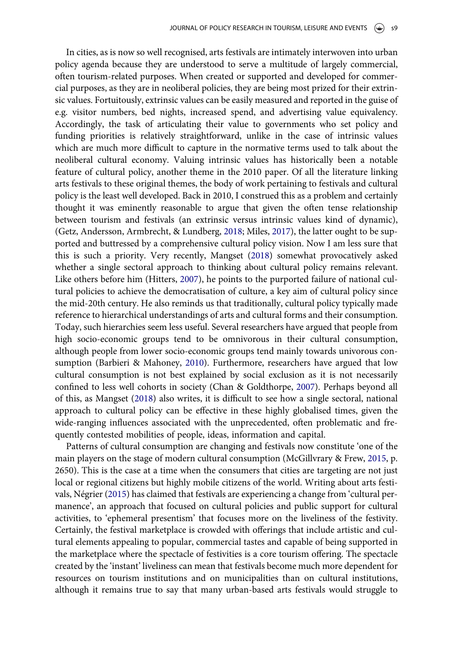<span id="page-3-0"></span>In cities, as is now so well recognised, arts festivals are intimately interwoven into urban policy agenda because they are understood to serve a multitude of largely commercial, often tourism-related purposes. When created or supported and developed for commercial purposes, as they are in neoliberal policies, they are being most prized for their extrinsic values. Fortuitously, extrinsic values can be easily measured and reported in the guise of e.g. visitor numbers, bed nights, increased spend, and advertising value equivalency. Accordingly, the task of articulating their value to governments who set policy and funding priorities is relatively straightforward, unlike in the case of intrinsic values which are much more difficult to capture in the normative terms used to talk about the neoliberal cultural economy. Valuing intrinsic values has historically been a notable feature of cultural policy, another theme in the 2010 paper. Of all the literature linking arts festivals to these original themes, the body of work pertaining to festivals and cultural policy is the least well developed. Back in 2010, I construed this as a problem and certainly thought it was eminently reasonable to argue that given the often tense relationship between tourism and festivals (an extrinsic versus intrinsic values kind of dynamic), (Getz, Andersson, Armbrecht, & Lundberg, [2018;](#page-5-0) Miles, [2017](#page-6-0)), the latter ought to be supported and buttressed by a comprehensive cultural policy vision. Now I am less sure that this is such a priority. Very recently, Mangset [\(2018](#page-6-0)) somewhat provocatively asked whether a single sectoral approach to thinking about cultural policy remains relevant. Like others before him (Hitters, [2007](#page-5-0)), he points to the purported failure of national cultural policies to achieve the democratisation of culture, a key aim of cultural policy since the mid-20th century. He also reminds us that traditionally, cultural policy typically made reference to hierarchical understandings of arts and cultural forms and their consumption. Today, such hierarchies seem less useful. Several researchers have argued that people from high socio-economic groups tend to be omnivorous in their cultural consumption, although people from lower socio-economic groups tend mainly towards univorous consumption (Barbieri & Mahoney, [2010\)](#page-5-0). Furthermore, researchers have argued that low cultural consumption is not best explained by social exclusion as it is not necessarily confined to less well cohorts in society (Chan & Goldthorpe, [2007\)](#page-5-0). Perhaps beyond all of this, as Mangset ([2018\)](#page-6-0) also writes, it is difficult to see how a single sectoral, national approach to cultural policy can be effective in these highly globalised times, given the wide-ranging influences associated with the unprecedented, often problematic and frequently contested mobilities of people, ideas, information and capital.

Patterns of cultural consumption are changing and festivals now constitute 'one of the main players on the stage of modern cultural consumption (McGillvrary & Frew, [2015,](#page-6-0) p. 2650). This is the case at a time when the consumers that cities are targeting are not just local or regional citizens but highly mobile citizens of the world. Writing about arts festivals, Négrier ([2015\)](#page-6-0) has claimed that festivals are experiencing a change from 'cultural permanence', an approach that focused on cultural policies and public support for cultural activities, to 'ephemeral presentism' that focuses more on the liveliness of the festivity. Certainly, the festival marketplace is crowded with offerings that include artistic and cultural elements appealing to popular, commercial tastes and capable of being supported in the marketplace where the spectacle of festivities is a core tourism offering. The spectacle created by the 'instant' liveliness can mean that festivals become much more dependent for resources on tourism institutions and on municipalities than on cultural institutions, although it remains true to say that many urban-based arts festivals would struggle to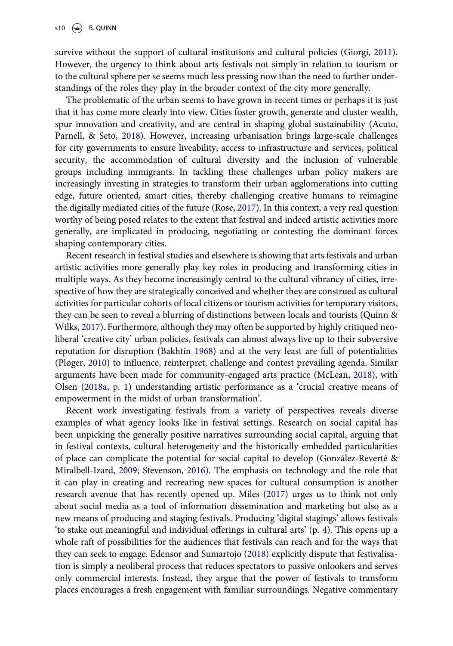<span id="page-4-0"></span>survive without the support of cultural institutions and cultural policies (Giorgi, [2011](#page-5-0)). However, the urgency to think about arts festivals not simply in relation to tourism or to the cultural sphere per se seems much less pressing now than the need to further understandings of the roles they play in the broader context of the city more generally.

The problematic of the urban seems to have grown in recent times or perhaps it is just that it has come more clearly into view. Cities foster growth, generate and cluster wealth, spur innovation and creativity, and are central in shaping global sustainability (Acuto, Parnell, & Seto, [2018\)](#page-5-0). However, increasing urbanisation brings large-scale challenges for city governments to ensure liveability, access to infrastructure and services, political security, the accommodation of cultural diversity and the inclusion of vulnerable groups including immigrants. In tackling these challenges urban policy makers are increasingly investing in strategies to transform their urban agglomerations into cutting edge, future oriented, smart cities, thereby challenging creative humans to reimagine the digitally mediated cities of the future (Rose, [2017\)](#page-6-0). In this context, a very real question worthy of being posed relates to the extent that festival and indeed artistic activities more generally, are implicated in producing, negotiating or contesting the dominant forces shaping contemporary cities.

Recent research in festival studies and elsewhere is showing that arts festivals and urban artistic activities more generally play key roles in producing and transforming cities in multiple ways. As they become increasingly central to the cultural vibrancy of cities, irrespective of how they are strategically conceived and whether they are construed as cultural activities for particular cohorts of local citizens or tourism activities for temporary visitors, they can be seen to reveal a blurring of distinctions between locals and tourists (Quinn & Wilks, [2017\)](#page-6-0). Furthermore, although they may often be supported by highly critiqued neoliberal 'creative city' urban policies, festivals can almost always live up to their subversive reputation for disruption (Bakhtin [1968\)](#page-5-0) and at the very least are full of potentialities (Pløger, [2010](#page-6-0)) to influence, reinterpret, challenge and contest prevailing agenda. Similar arguments have been made for community-engaged arts practice (McLean, [2018](#page-6-0)), with Olsen ([2018a,](#page-6-0) p. 1) understanding artistic performance as a 'crucial creative means of empowerment in the midst of urban transformation'.

Recent work investigating festivals from a variety of perspectives reveals diverse examples of what agency looks like in festival settings. Research on social capital has been unpicking the generally positive narratives surrounding social capital, arguing that in festival contexts, cultural heterogeneity and the historically embedded particularities of place can complicate the potential for social capital to develop (González-Reverté & Miralbell-Izard, [2009](#page-5-0); Stevenson, [2016\)](#page-6-0). The emphasis on technology and the role that it can play in creating and recreating new spaces for cultural consumption is another research avenue that has recently opened up. Miles [\(2017\)](#page-6-0) urges us to think not only about social media as a tool of information dissemination and marketing but also as a new means of producing and staging festivals. Producing 'digital stagings' allows festivals 'to stake out meaningful and individual offerings in cultural arts' (p. 4). This opens up a whole raft of possibilities for the audiences that festivals can reach and for the ways that they can seek to engage. Edensor and Sumartojo [\(2018\)](#page-5-0) explicitly dispute that festivalisation is simply a neoliberal process that reduces spectators to passive onlookers and serves only commercial interests. Instead, they argue that the power of festivals to transform places encourages a fresh engagement with familiar surroundings. Negative commentary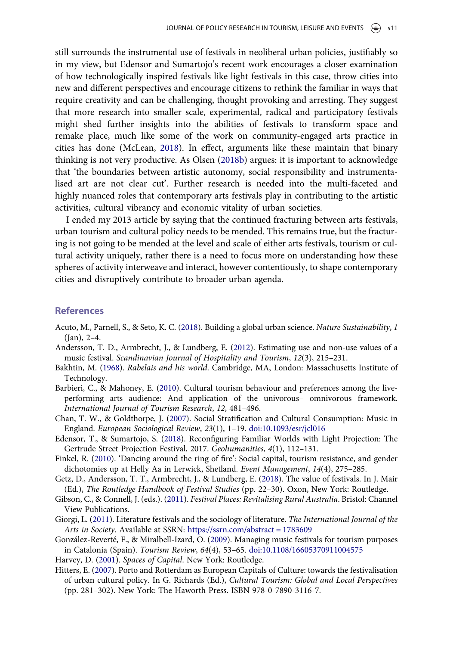<span id="page-5-0"></span>still surrounds the instrumental use of festivals in neoliberal urban policies, justifiably so in my view, but Edensor and Sumartojo's recent work encourages a closer examination of how technologically inspired festivals like light festivals in this case, throw cities into new and different perspectives and encourage citizens to rethink the familiar in ways that require creativity and can be challenging, thought provoking and arresting. They suggest that more research into smaller scale, experimental, radical and participatory festivals might shed further insights into the abilities of festivals to transform space and remake place, much like some of the work on community-engaged arts practice in cities has done (McLean, [2018\)](#page-6-0). In effect, arguments like these maintain that binary thinking is not very productive. As Olsen ([2018b\)](#page-6-0) argues: it is important to acknowledge that 'the boundaries between artistic autonomy, social responsibility and instrumentalised art are not clear cut'. Further research is needed into the multi-faceted and highly nuanced roles that contemporary arts festivals play in contributing to the artistic activities, cultural vibrancy and economic vitality of urban societies.

I ended my 2013 article by saying that the continued fracturing between arts festivals, urban tourism and cultural policy needs to be mended. This remains true, but the fracturing is not going to be mended at the level and scale of either arts festivals, tourism or cultural activity uniquely, rather there is a need to focus more on understanding how these spheres of activity interweave and interact, however contentiously, to shape contemporary cities and disruptively contribute to broader urban agenda.

#### References

- Acuto, M., Parnell, S., & Seto, K. C. [\(2018\)](#page-4-0). Building a global urban science. Nature Sustainability, 1 (Jan), 2–4.
- Andersson, T. D., Armbrecht, J., & Lundberg, E. [\(2012\)](#page-2-0). Estimating use and non-use values of a music festival. Scandinavian Journal of Hospitality and Tourism, 12(3), 215–231.
- Bakhtin, M. [\(1968](#page-4-0)). Rabelais and his world. Cambridge, MA, London: Massachusetts Institute of Technology.
- Barbieri, C., & Mahoney, E. ([2010\)](#page-3-0). Cultural tourism behaviour and preferences among the liveperforming arts audience: And application of the univorous– omnivorous framework. International Journal of Tourism Research, 12, 481–496.
- Chan, T. W., & Goldthorpe, J. ([2007\)](#page-3-0). Social Stratification and Cultural Consumption: Music in England. European Sociological Review, 23(1), 1–19. [doi:10.1093/esr/jcl016](https://doi.org/10.1093/esr/jcl016)
- Edensor, T., & Sumartojo, S. ([2018](#page-4-0)). Reconfiguring Familiar Worlds with Light Projection: The Gertrude Street Projection Festival, 2017. Geohumanities, 4(1), 112–131.
- Finkel, R. ([2010\)](#page-2-0). 'Dancing around the ring of fire': Social capital, tourism resistance, and gender dichotomies up at Helly Aa in Lerwick, Shetland. Event Management, 14(4), 275–285.
- Getz, D., Andersson, T. T., Armbrecht, J., & Lundberg, E. [\(2018](#page-3-0)). The value of festivals. In J. Mair (Ed.), The Routledge Handbook of Festival Studies (pp. 22–30). Oxon, New York: Routledge.
- Gibson, C., & Connell, J. (eds.). ([2011](#page-2-0)). Festival Places: Revitalising Rural Australia. Bristol: Channel View Publications.
- Giorgi, L. ([2011](#page-4-0)). Literature festivals and the sociology of literature. The International Journal of the Arts in Society. Available at SSRN: [https://ssrn.com/abstract = 1783609](https://ssrn.com/abstract=1783609)
- González-Reverté, F., & Miralbell-Izard, O. [\(2009](#page-4-0)). Managing music festivals for tourism purposes in Catalonia (Spain). Tourism Review, 64(4), 53–65. [doi:10.1108/16605370911004575](https://doi.org/10.1108/16605370911004575)
- Harvey, D. ([2001\)](#page-2-0). Spaces of Capital. New York: Routledge.
- Hitters, E. [\(2007\)](#page-3-0). Porto and Rotterdam as European Capitals of Culture: towards the festivalisation of urban cultural policy. In G. Richards (Ed.), Cultural Tourism: Global and Local Perspectives (pp. 281–302). New York: The Haworth Press. ISBN 978-0-7890-3116-7.